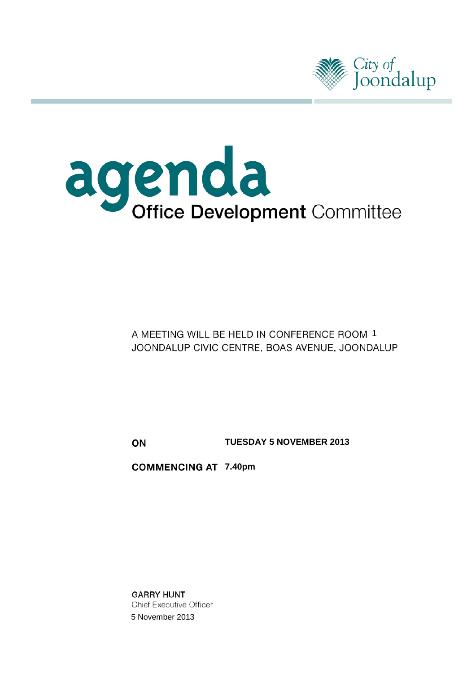

# agenda<br>Office Development Committee

A MEETING WILL BE HELD IN CONFERENCE ROOM 1 JOONDALUP CIVIC CENTRE, BOAS AVENUE, JOONDALUP

ON

**TUESDAY 5 NOVEMBER 2013**

**COMMENCING AT 7.40pm** 

**GARRY HUNT Chief Executive Officer** 5 November 2013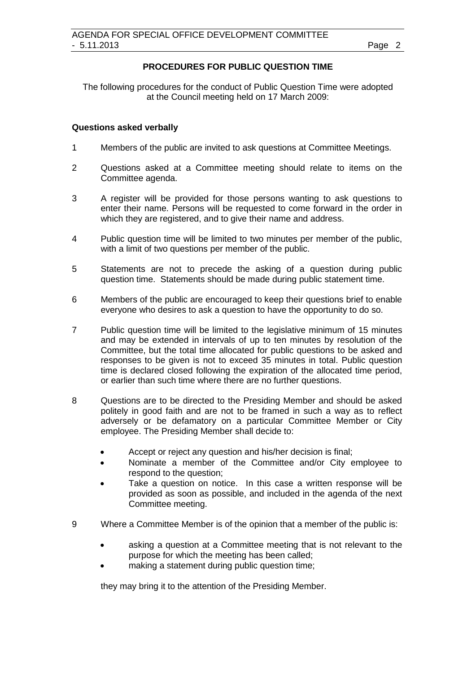#### **PROCEDURES FOR PUBLIC QUESTION TIME**

The following procedures for the conduct of Public Question Time were adopted at the Council meeting held on 17 March 2009:

#### **Questions asked verbally**

- 1 Members of the public are invited to ask questions at Committee Meetings.
- 2 Questions asked at a Committee meeting should relate to items on the Committee agenda.
- 3 A register will be provided for those persons wanting to ask questions to enter their name. Persons will be requested to come forward in the order in which they are registered, and to give their name and address.
- 4 Public question time will be limited to two minutes per member of the public, with a limit of two questions per member of the public.
- 5 Statements are not to precede the asking of a question during public question time. Statements should be made during public statement time.
- 6 Members of the public are encouraged to keep their questions brief to enable everyone who desires to ask a question to have the opportunity to do so.
- 7 Public question time will be limited to the legislative minimum of 15 minutes and may be extended in intervals of up to ten minutes by resolution of the Committee, but the total time allocated for public questions to be asked and responses to be given is not to exceed 35 minutes in total. Public question time is declared closed following the expiration of the allocated time period, or earlier than such time where there are no further questions.
- 8 Questions are to be directed to the Presiding Member and should be asked politely in good faith and are not to be framed in such a way as to reflect adversely or be defamatory on a particular Committee Member or City employee. The Presiding Member shall decide to:
	- Accept or reject any question and his/her decision is final;
	- Nominate a member of the Committee and/or City employee to respond to the question;
	- Take a question on notice. In this case a written response will be provided as soon as possible, and included in the agenda of the next Committee meeting.
- 9 Where a Committee Member is of the opinion that a member of the public is:
	- asking a question at a Committee meeting that is not relevant to the purpose for which the meeting has been called;
	- making a statement during public question time:

they may bring it to the attention of the Presiding Member.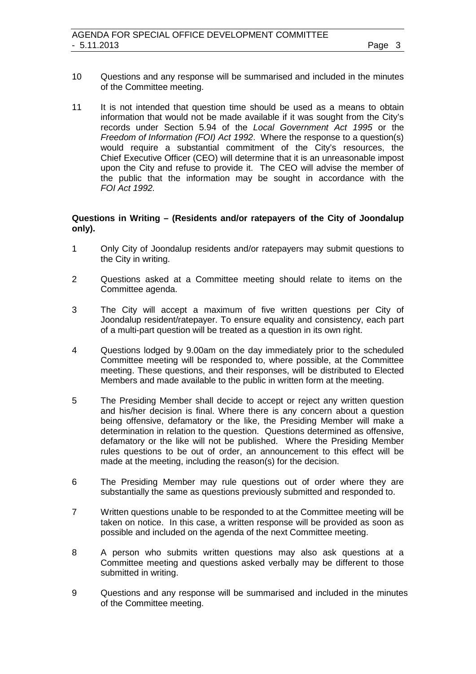- 10 Questions and any response will be summarised and included in the minutes of the Committee meeting.
- 11 It is not intended that question time should be used as a means to obtain information that would not be made available if it was sought from the City's records under Section 5.94 of the *Local Government Act 1995* or the *Freedom of Information (FOI) Act 1992*. Where the response to a question(s) would require a substantial commitment of the City's resources, the Chief Executive Officer (CEO) will determine that it is an unreasonable impost upon the City and refuse to provide it. The CEO will advise the member of the public that the information may be sought in accordance with the *FOI Act 1992.*

#### **Questions in Writing – (Residents and/or ratepayers of the City of Joondalup only).**

- 1 Only City of Joondalup residents and/or ratepayers may submit questions to the City in writing.
- 2 Questions asked at a Committee meeting should relate to items on the Committee agenda.
- 3 The City will accept a maximum of five written questions per City of Joondalup resident/ratepayer. To ensure equality and consistency, each part of a multi-part question will be treated as a question in its own right.
- 4 Questions lodged by 9.00am on the day immediately prior to the scheduled Committee meeting will be responded to, where possible, at the Committee meeting. These questions, and their responses, will be distributed to Elected Members and made available to the public in written form at the meeting.
- 5 The Presiding Member shall decide to accept or reject any written question and his/her decision is final. Where there is any concern about a question being offensive, defamatory or the like, the Presiding Member will make a determination in relation to the question. Questions determined as offensive, defamatory or the like will not be published. Where the Presiding Member rules questions to be out of order, an announcement to this effect will be made at the meeting, including the reason(s) for the decision.
- 6 The Presiding Member may rule questions out of order where they are substantially the same as questions previously submitted and responded to.
- 7 Written questions unable to be responded to at the Committee meeting will be taken on notice. In this case, a written response will be provided as soon as possible and included on the agenda of the next Committee meeting.
- 8 A person who submits written questions may also ask questions at a Committee meeting and questions asked verbally may be different to those submitted in writing.
- 9 Questions and any response will be summarised and included in the minutes of the Committee meeting.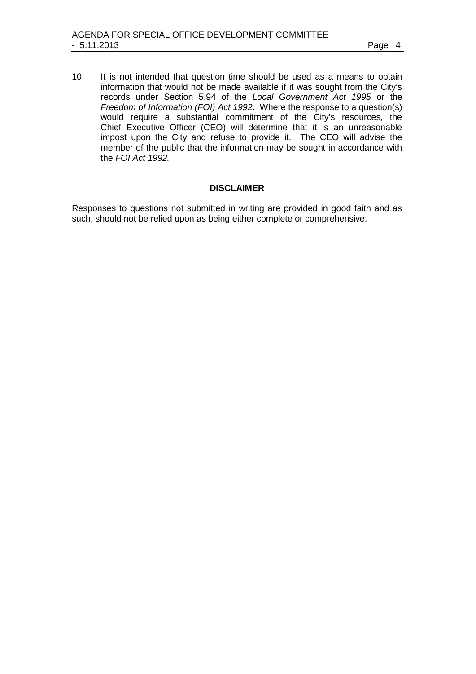10 It is not intended that question time should be used as a means to obtain information that would not be made available if it was sought from the City's records under Section 5.94 of the *Local Government Act 1995* or the *Freedom of Information (FOI) Act 1992*. Where the response to a question(s) would require a substantial commitment of the City's resources, the Chief Executive Officer (CEO) will determine that it is an unreasonable impost upon the City and refuse to provide it. The CEO will advise the member of the public that the information may be sought in accordance with the *FOI Act 1992.*

#### **DISCLAIMER**

Responses to questions not submitted in writing are provided in good faith and as such, should not be relied upon as being either complete or comprehensive.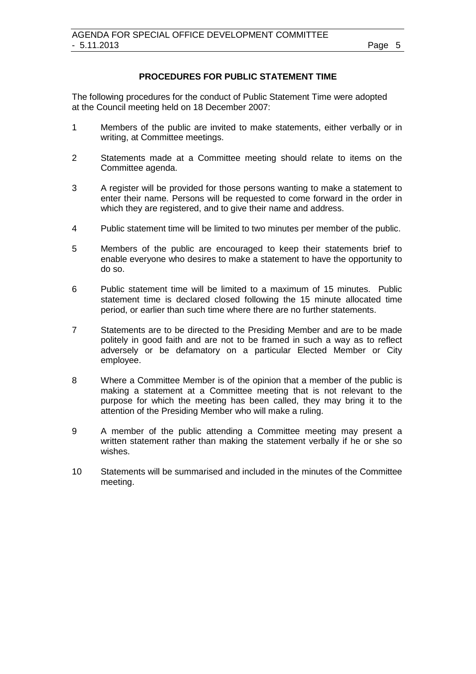#### **PROCEDURES FOR PUBLIC STATEMENT TIME**

The following procedures for the conduct of Public Statement Time were adopted at the Council meeting held on 18 December 2007:

- 1 Members of the public are invited to make statements, either verbally or in writing, at Committee meetings.
- 2 Statements made at a Committee meeting should relate to items on the Committee agenda.
- 3 A register will be provided for those persons wanting to make a statement to enter their name. Persons will be requested to come forward in the order in which they are registered, and to give their name and address.
- 4 Public statement time will be limited to two minutes per member of the public.
- 5 Members of the public are encouraged to keep their statements brief to enable everyone who desires to make a statement to have the opportunity to do so.
- 6 Public statement time will be limited to a maximum of 15 minutes. Public statement time is declared closed following the 15 minute allocated time period, or earlier than such time where there are no further statements.
- 7 Statements are to be directed to the Presiding Member and are to be made politely in good faith and are not to be framed in such a way as to reflect adversely or be defamatory on a particular Elected Member or City employee.
- 8 Where a Committee Member is of the opinion that a member of the public is making a statement at a Committee meeting that is not relevant to the purpose for which the meeting has been called, they may bring it to the attention of the Presiding Member who will make a ruling.
- 9 A member of the public attending a Committee meeting may present a written statement rather than making the statement verbally if he or she so wishes.
- 10 Statements will be summarised and included in the minutes of the Committee meeting.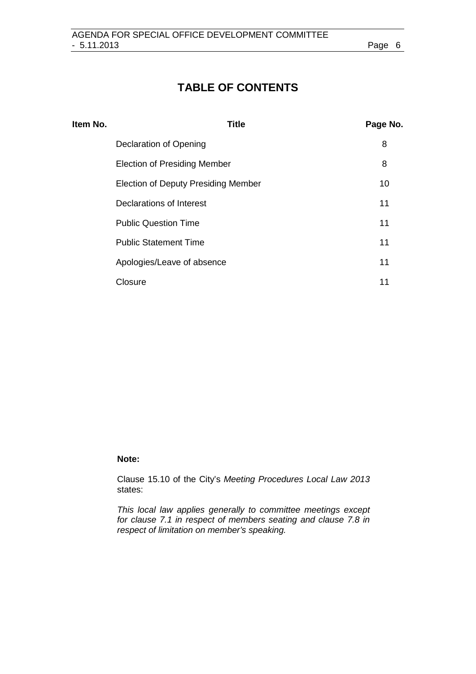# **TABLE OF CONTENTS**

| Item No. | <b>Title</b>                               | Page No. |
|----------|--------------------------------------------|----------|
|          | Declaration of Opening                     | 8        |
|          | <b>Election of Presiding Member</b>        | 8        |
|          | <b>Election of Deputy Presiding Member</b> | 10       |
|          | Declarations of Interest                   | 11       |
|          | <b>Public Question Time</b>                | 11       |
|          | <b>Public Statement Time</b>               | 11       |
|          | Apologies/Leave of absence                 | 11       |
|          | Closure                                    | 11       |

#### **Note:**

Clause 15.10 of the City's *Meeting Procedures Local Law 2013*  states:

*This local law applies generally to committee meetings except for clause 7.1 in respect of members seating and clause 7.8 in respect of limitation on member's speaking.*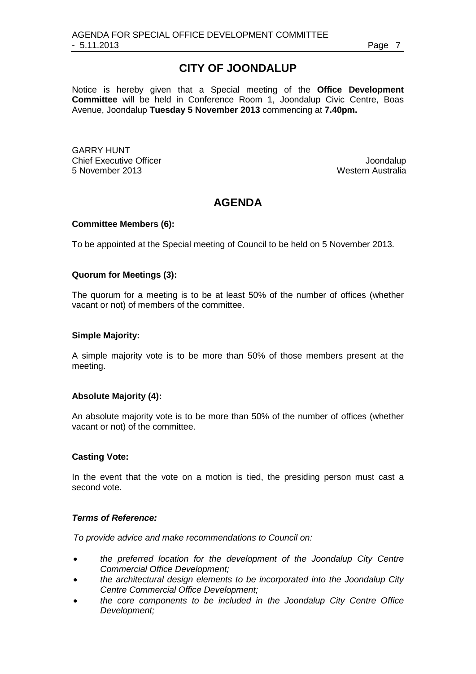# **CITY OF JOONDALUP**

Notice is hereby given that a Special meeting of the **Office Development Committee** will be held in Conference Room 1, Joondalup Civic Centre, Boas Avenue, Joondalup **Tuesday 5 November 2013** commencing at **7.40pm.**

GARRY HUNT Chief Executive Officer  $\Box$  Joondalup Joondalup 5 November 2013 Western Australia

## **AGENDA**

#### **Committee Members (6):**

To be appointed at the Special meeting of Council to be held on 5 November 2013.

#### **Quorum for Meetings (3):**

The quorum for a meeting is to be at least 50% of the number of offices (whether vacant or not) of members of the committee.

#### **Simple Majority:**

A simple majority vote is to be more than 50% of those members present at the meeting.

#### **Absolute Majority (4):**

An absolute majority vote is to be more than 50% of the number of offices (whether vacant or not) of the committee.

#### **Casting Vote:**

In the event that the vote on a motion is tied, the presiding person must cast a second vote.

#### *Terms of Reference:*

*To provide advice and make recommendations to Council on:*

- *the preferred location for the development of the Joondalup City Centre Commercial Office Development;*
- *the architectural design elements to be incorporated into the Joondalup City Centre Commercial Office Development;*
- *the core components to be included in the Joondalup City Centre Office Development;*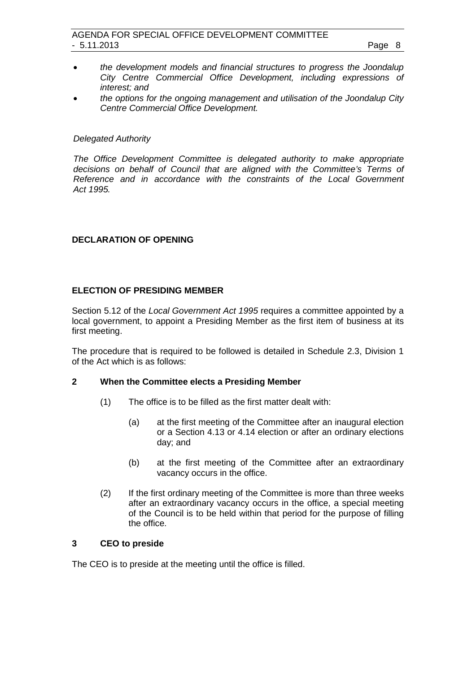- *the development models and financial structures to progress the Joondalup City Centre Commercial Office Development, including expressions of interest; and*
- *the options for the ongoing management and utilisation of the Joondalup City Centre Commercial Office Development.*

#### *Delegated Authority*

*The Office Development Committee is delegated authority to make appropriate decisions on behalf of Council that are aligned with the Committee's Terms of Reference and in accordance with the constraints of the Local Government Act 1995.*

#### <span id="page-7-0"></span>**DECLARATION OF OPENING**

#### <span id="page-7-1"></span>**ELECTION OF PRESIDING MEMBER**

Section 5.12 of the *Local Government Act 1995* requires a committee appointed by a local government, to appoint a Presiding Member as the first item of business at its first meeting.

The procedure that is required to be followed is detailed in Schedule 2.3, Division 1 of the Act which is as follows:

#### **2 When the Committee elects a Presiding Member**

- (1) The office is to be filled as the first matter dealt with:
	- (a) at the first meeting of the Committee after an inaugural election or a Section 4.13 or 4.14 election or after an ordinary elections day; and
	- (b) at the first meeting of the Committee after an extraordinary vacancy occurs in the office.
- (2) If the first ordinary meeting of the Committee is more than three weeks after an extraordinary vacancy occurs in the office, a special meeting of the Council is to be held within that period for the purpose of filling the office.

### **3 CEO to preside**

The CEO is to preside at the meeting until the office is filled.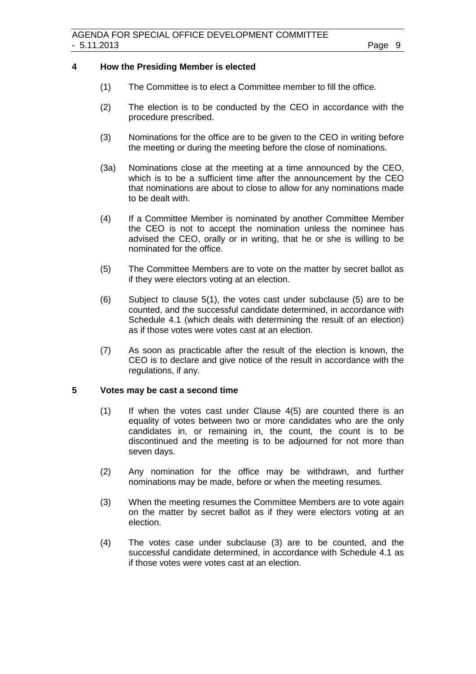#### **4 How the Presiding Member is elected**

- (1) The Committee is to elect a Committee member to fill the office.
- (2) The election is to be conducted by the CEO in accordance with the procedure prescribed.
- (3) Nominations for the office are to be given to the CEO in writing before the meeting or during the meeting before the close of nominations.
- (3a) Nominations close at the meeting at a time announced by the CEO, which is to be a sufficient time after the announcement by the CEO that nominations are about to close to allow for any nominations made to be dealt with.
- (4) If a Committee Member is nominated by another Committee Member the CEO is not to accept the nomination unless the nominee has advised the CEO, orally or in writing, that he or she is willing to be nominated for the office.
- (5) The Committee Members are to vote on the matter by secret ballot as if they were electors voting at an election.
- (6) Subject to clause 5(1), the votes cast under subclause (5) are to be counted, and the successful candidate determined, in accordance with Schedule 4.1 (which deals with determining the result of an election) as if those votes were votes cast at an election.
- (7) As soon as practicable after the result of the election is known, the CEO is to declare and give notice of the result in accordance with the regulations, if any.

#### **5 Votes may be cast a second time**

- (1) If when the votes cast under Clause 4(5) are counted there is an equality of votes between two or more candidates who are the only candidates in, or remaining in, the count, the count is to be discontinued and the meeting is to be adjourned for not more than seven days.
- (2) Any nomination for the office may be withdrawn, and further nominations may be made, before or when the meeting resumes.
- (3) When the meeting resumes the Committee Members are to vote again on the matter by secret ballot as if they were electors voting at an election.
- (4) The votes case under subclause (3) are to be counted, and the successful candidate determined, in accordance with Schedule 4.1 as if those votes were votes cast at an election.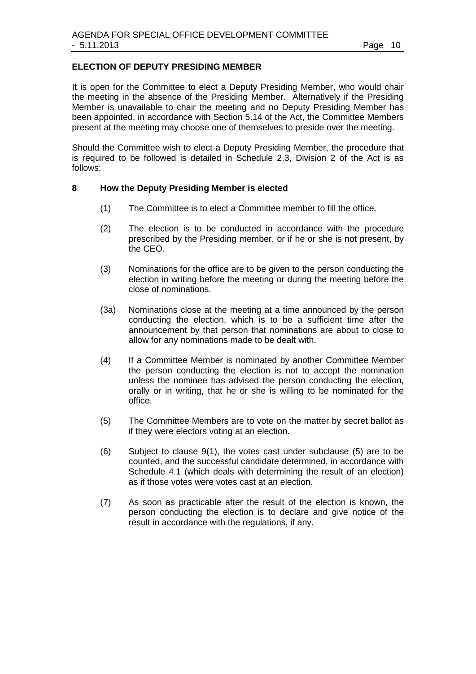#### <span id="page-9-0"></span>**ELECTION OF DEPUTY PRESIDING MEMBER**

It is open for the Committee to elect a Deputy Presiding Member, who would chair the meeting in the absence of the Presiding Member. Alternatively if the Presiding Member is unavailable to chair the meeting and no Deputy Presiding Member has been appointed, in accordance with Section 5.14 of the Act, the Committee Members present at the meeting may choose one of themselves to preside over the meeting.

Should the Committee wish to elect a Deputy Presiding Member, the procedure that is required to be followed is detailed in Schedule 2.3, Division 2 of the Act is as follows:

#### **8 How the Deputy Presiding Member is elected**

- (1) The Committee is to elect a Committee member to fill the office.
- (2) The election is to be conducted in accordance with the procedure prescribed by the Presiding member, or if he or she is not present, by the CEO.
- (3) Nominations for the office are to be given to the person conducting the election in writing before the meeting or during the meeting before the close of nominations.
- (3a) Nominations close at the meeting at a time announced by the person conducting the election, which is to be a sufficient time after the announcement by that person that nominations are about to close to allow for any nominations made to be dealt with.
- (4) If a Committee Member is nominated by another Committee Member the person conducting the election is not to accept the nomination unless the nominee has advised the person conducting the election, orally or in writing, that he or she is willing to be nominated for the office.
- (5) The Committee Members are to vote on the matter by secret ballot as if they were electors voting at an election.
- (6) Subject to clause 9(1), the votes cast under subclause (5) are to be counted, and the successful candidate determined, in accordance with Schedule 4.1 (which deals with determining the result of an election) as if those votes were votes cast at an election.
- (7) As soon as practicable after the result of the election is known, the person conducting the election is to declare and give notice of the result in accordance with the regulations, if any.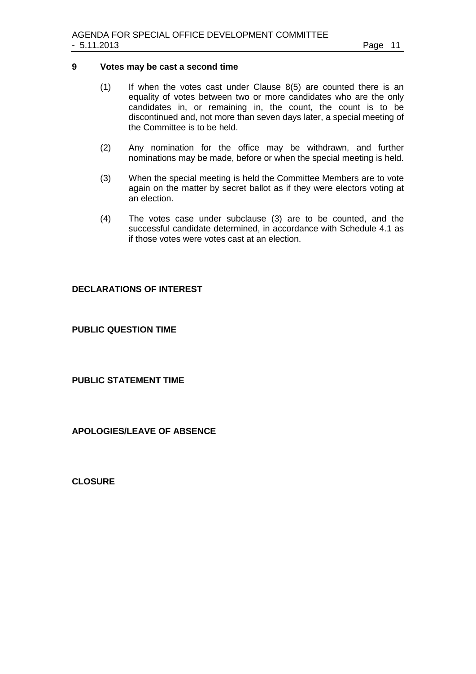#### **9 Votes may be cast a second time**

- (1) If when the votes cast under Clause 8(5) are counted there is an equality of votes between two or more candidates who are the only candidates in, or remaining in, the count, the count is to be discontinued and, not more than seven days later, a special meeting of the Committee is to be held.
- (2) Any nomination for the office may be withdrawn, and further nominations may be made, before or when the special meeting is held.
- (3) When the special meeting is held the Committee Members are to vote again on the matter by secret ballot as if they were electors voting at an election.
- (4) The votes case under subclause (3) are to be counted, and the successful candidate determined, in accordance with Schedule 4.1 as if those votes were votes cast at an election.

#### <span id="page-10-0"></span>**DECLARATIONS OF INTEREST**

<span id="page-10-1"></span>**PUBLIC QUESTION TIME**

<span id="page-10-2"></span>**PUBLIC STATEMENT TIME**

<span id="page-10-3"></span>**APOLOGIES/LEAVE OF ABSENCE**

<span id="page-10-4"></span>**CLOSURE**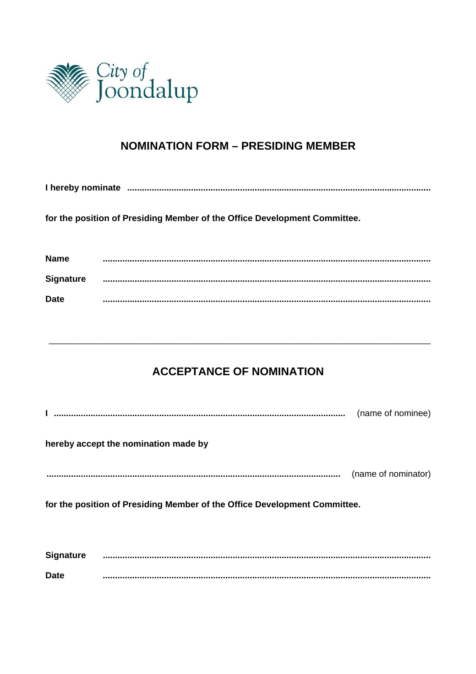

# **NOMINATION FORM - PRESIDING MEMBER**

I hereby nominate manual communication and contract the manual contract of the contract of the contract of the

for the position of Presiding Member of the Office Development Committee.

| <b>Name</b>      |  |
|------------------|--|
| <b>Signature</b> |  |
| <b>Date</b>      |  |

# **ACCEPTANCE OF NOMINATION**

|                                                                           |                                      | (name of nominee)   |
|---------------------------------------------------------------------------|--------------------------------------|---------------------|
|                                                                           | hereby accept the nomination made by |                     |
|                                                                           |                                      | (name of nominator) |
| for the position of Presiding Member of the Office Development Committee. |                                      |                     |
|                                                                           |                                      |                     |
| <b>Signature</b>                                                          |                                      |                     |
| <b>Date</b>                                                               |                                      |                     |